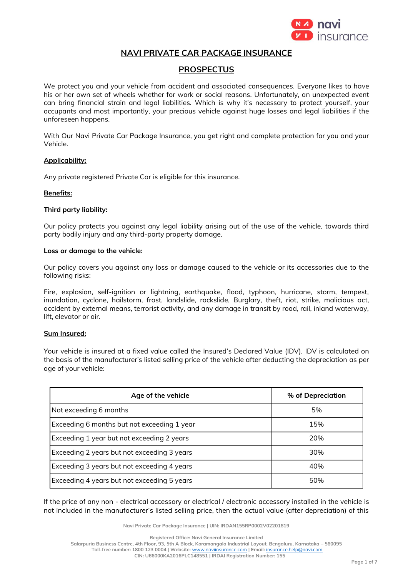

# **NAVI PRIVATE CAR PACKAGE INSURANCE**

## **PROSPECTUS**

We protect you and your vehicle from accident and associated consequences. Everyone likes to have his or her own set of wheels whether for work or social reasons. Unfortunately, an unexpected event can bring financial strain and legal liabilities. Which is why it's necessary to protect yourself, your occupants and most importantly, your precious vehicle against huge losses and legal liabilities if the unforeseen happens.

With Our Navi Private Car Package Insurance, you get right and complete protection for you and your Vehicle.

### **Applicability:**

Any private registered Private Car is eligible for this insurance.

#### **Benefits:**

### **Third party liability:**

Our policy protects you against any legal liability arising out of the use of the vehicle, towards third party bodily injury and any third-party property damage.

### **Loss or damage to the vehicle:**

Our policy covers you against any loss or damage caused to the vehicle or its accessories due to the following risks:

Fire, explosion, self-ignition or lightning, earthquake, flood, typhoon, hurricane, storm, tempest, inundation, cyclone, hailstorm, frost, landslide, rockslide, Burglary, theft, riot, strike, malicious act, accident by external means, terrorist activity, and any damage in transit by road, rail, inland waterway, lift, elevator or air.

### **Sum Insured:**

Your vehicle is insured at a fixed value called the Insured's Declared Value (IDV). IDV is calculated on the basis of the manufacturer's listed selling price of the vehicle after deducting the depreciation as per age of your vehicle:

| Age of the vehicle                          | % of Depreciation |  |
|---------------------------------------------|-------------------|--|
| Not exceeding 6 months                      | 5%                |  |
| Exceeding 6 months but not exceeding 1 year | 15%               |  |
| Exceeding 1 year but not exceeding 2 years  | 20%               |  |
| Exceeding 2 years but not exceeding 3 years | 30%               |  |
| Exceeding 3 years but not exceeding 4 years | 40%               |  |
| Exceeding 4 years but not exceeding 5 years | 50%               |  |

If the price of any non - electrical accessory or electrical / electronic accessory installed in the vehicle is not included in the manufacturer's listed selling price, then the actual value (after depreciation) of this

**Navi Private Car Package Insurance | UIN: IRDAN155RP0002V02201819**

**Registered Office: Navi General Insurance Limited**

**Salarpuria Business Centre, 4th Floor, 93, 5th A Block, Koramangala Industrial Layout, Bengaluru, Karnataka – 560095**

**Toll-free number: 1800 123 0004 | Website:** [www.naviinsurance.com](http://www.naviinsurance.com/) **| Email:** [insurance.help@navi.com](mailto:insurance.help@navi.com)

**CIN: U66000KA2016PLC148551 | IRDAI Registration Number: 155**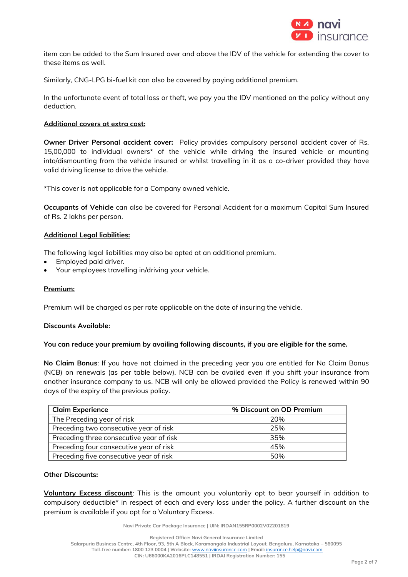

item can be added to the Sum Insured over and above the IDV of the vehicle for extending the cover to these items as well.

Similarly, CNG-LPG bi-fuel kit can also be covered by paying additional premium.

In the unfortunate event of total loss or theft, we pay you the IDV mentioned on the policy without any deduction.

### **Additional covers at extra cost:**

**Owner Driver Personal accident cover:** Policy provides compulsory personal accident cover of Rs. 15,00,000 to individual owners\* of the vehicle while driving the insured vehicle or mounting into/dismounting from the vehicle insured or whilst travelling in it as a co-driver provided they have valid driving license to drive the vehicle.

\*This cover is not applicable for a Company owned vehicle.

**Occupants of Vehicle** can also be covered for Personal Accident for a maximum Capital Sum Insured of Rs. 2 lakhs per person.

### **Additional Legal liabilities:**

The following legal liabilities may also be opted at an additional premium.

- Employed paid driver.
- Your employees travelling in/driving your vehicle.

#### **Premium:**

Premium will be charged as per rate applicable on the date of insuring the vehicle.

#### **Discounts Available:**

#### **You can reduce your premium by availing following discounts, if you are eligible for the same.**

**No Claim Bonus**: If you have not claimed in the preceding year you are entitled for No Claim Bonus (NCB) on renewals (as per table below). NCB can be availed even if you shift your insurance from another insurance company to us. NCB will only be allowed provided the Policy is renewed within 90 days of the expiry of the previous policy.

| <b>Claim Experience</b>                  | % Discount on OD Premium |
|------------------------------------------|--------------------------|
| The Preceding year of risk               | 20%                      |
| Preceding two consecutive year of risk   | 25%                      |
| Preceding three consecutive year of risk | 35%                      |
| Preceding four consecutive year of risk  | 45%                      |
| Preceding five consecutive year of risk  | 50%                      |

#### **Other Discounts:**

**Voluntary Excess discount**: This is the amount you voluntarily opt to bear yourself in addition to compulsory deductible\* in respect of each and every loss under the policy. A further discount on the premium is available if you opt for a Voluntary Excess.

**Navi Private Car Package Insurance | UIN: IRDAN155RP0002V02201819**

**Registered Office: Navi General Insurance Limited**

**Salarpuria Business Centre, 4th Floor, 93, 5th A Block, Koramangala Industrial Layout, Bengaluru, Karnataka – 560095 Toll-free number: 1800 123 0004 | Website:** [www.naviinsurance.com](http://www.naviinsurance.com/) **| Email:** [insurance.help@navi.com](mailto:insurance.help@navi.com) **CIN: U66000KA2016PLC148551 | IRDAI Registration Number: 155**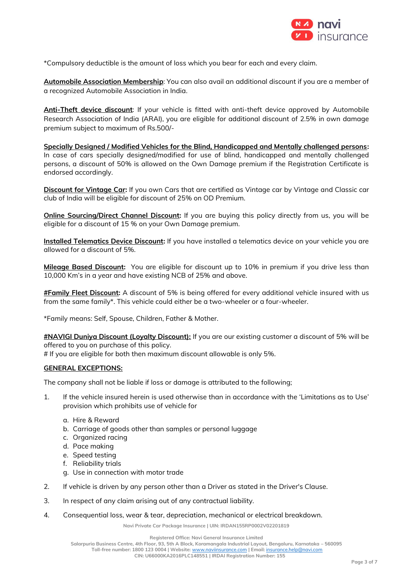

\*Compulsory deductible is the amount of loss which you bear for each and every claim.

**Automobile Association Membership**: You can also avail an additional discount if you are a member of a recognized Automobile Association in India.

**Anti-Theft device discount**: If your vehicle is fitted with anti-theft device approved by Automobile Research Association of India (ARAI), you are eligible for additional discount of 2.5% in own damage premium subject to maximum of Rs.500/-

**Specially Designed / Modified Vehicles for the Blind, Handicapped and Mentally challenged persons:**  In case of cars specially designed/modified for use of blind, handicapped and mentally challenged persons, a discount of 50% is allowed on the Own Damage premium if the Registration Certificate is endorsed accordingly.

**Discount for Vintage Car:** If you own Cars that are certified as Vintage car by Vintage and Classic car club of India will be eligible for discount of 25% on OD Premium.

**Online Sourcing/Direct Channel Discount:** If you are buying this policy directly from us, you will be eligible for a discount of 15 % on your Own Damage premium.

**Installed Telematics Device Discount:** If you have installed a telematics device on your vehicle you are allowed for a discount of 5%.

**Mileage Based Discount:** You are eligible for discount up to 10% in premium if you drive less than 10,000 Km's in a year and have existing NCB of 25% and above.

**#Family Fleet Discount:** A discount of 5% is being offered for every additional vehicle insured with us from the same family\*. This vehicle could either be a two-wheeler or a four-wheeler.

\*Family means: Self, Spouse, Children, Father & Mother.

**#NAVIGI Duniya Discount (Loyalty Discount):** If you are our existing customer a discount of 5% will be offered to you on purchase of this policy.

# If you are eligible for both then maximum discount allowable is only 5%.

### **GENERAL EXCEPTIONS:**

The company shall not be liable if loss or damage is attributed to the following;

- 1. If the vehicle insured herein is used otherwise than in accordance with the 'Limitations as to Use' provision which prohibits use of vehicle for
	- a. Hire & Reward
	- b. Carriage of goods other than samples or personal luggage
	- c. Organized racing
	- d. Pace making
	- e. Speed testing
	- f. Reliability trials
	- g. Use in connection with motor trade
- 2. If vehicle is driven by any person other than a Driver as stated in the Driver's Clause.
- 3. In respect of any claim arising out of any contractual liability.
- 4. Consequential loss, wear & tear, depreciation, mechanical or electrical breakdown.

**Navi Private Car Package Insurance | UIN: IRDAN155RP0002V02201819**

**Registered Office: Navi General Insurance Limited**

**Salarpuria Business Centre, 4th Floor, 93, 5th A Block, Koramangala Industrial Layout, Bengaluru, Karnataka – 560095 Toll-free number: 1800 123 0004 | Website:** [www.naviinsurance.com](http://www.naviinsurance.com/) **| Email:** [insurance.help@navi.com](mailto:insurance.help@navi.com)

**CIN: U66000KA2016PLC148551 | IRDAI Registration Number: 155**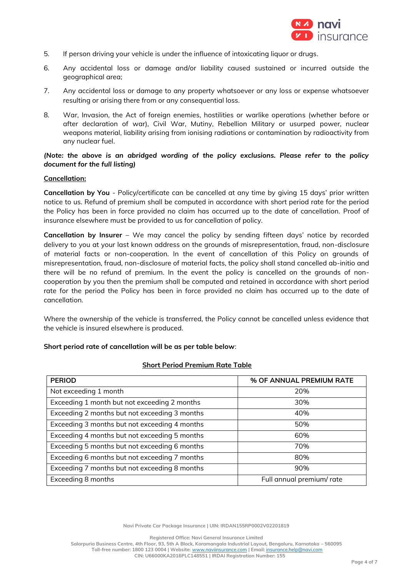

- 5. If person driving your vehicle is under the influence of intoxicating liquor or drugs.
- 6. Any accidental loss or damage and/or liability caused sustained or incurred outside the geographical area;
- 7. Any accidental loss or damage to any property whatsoever or any loss or expense whatsoever resulting or arising there from or any consequential loss.
- 8. War, Invasion, the Act of foreign enemies, hostilities or warlike operations (whether before or after declaration of war), Civil War, Mutiny, Rebellion Military or usurped power, nuclear weapons material, liability arising from ionising radiations or contamination by radioactivity from any nuclear fuel.

### *(Note: the above is an abridged wording of the policy exclusions. Please refer to the policy document for the full listing)*

### **Cancellation:**

**Cancellation by You** - Policy/certificate can be cancelled at any time by giving 15 days' prior written notice to us. Refund of premium shall be computed in accordance with short period rate for the period the Policy has been in force provided no claim has occurred up to the date of cancellation. Proof of insurance elsewhere must be provided to us for cancellation of policy.

**Cancellation by Insurer** – We may cancel the policy by sending fifteen days' notice by recorded delivery to you at your last known address on the grounds of misrepresentation, fraud, non-disclosure of material facts or non-cooperation. In the event of cancellation of this Policy on grounds of misrepresentation, fraud, non-disclosure of material facts, the policy shall stand cancelled ab-initio and there will be no refund of premium. In the event the policy is cancelled on the grounds of noncooperation by you then the premium shall be computed and retained in accordance with short period rate for the period the Policy has been in force provided no claim has occurred up to the date of cancellation.

Where the ownership of the vehicle is transferred, the Policy cannot be cancelled unless evidence that the vehicle is insured elsewhere is produced.

### **Short period rate of cancellation will be as per table below**:

| <b>Short Period Premium Rate Table</b> |  |  |
|----------------------------------------|--|--|
|                                        |  |  |

| <b>PERIOD</b>                                 | % OF ANNUAL PREMIUM RATE  |  |
|-----------------------------------------------|---------------------------|--|
| Not exceeding 1 month                         | 20%                       |  |
| Exceeding 1 month but not exceeding 2 months  | 30%                       |  |
| Exceeding 2 months but not exceeding 3 months | 40%                       |  |
| Exceeding 3 months but not exceeding 4 months | 50%                       |  |
| Exceeding 4 months but not exceeding 5 months | 60%                       |  |
| Exceeding 5 months but not exceeding 6 months | 70%                       |  |
| Exceeding 6 months but not exceeding 7 months | 80%                       |  |
| Exceeding 7 months but not exceeding 8 months | 90%                       |  |
| Exceeding 8 months                            | Full annual premium/ rate |  |

**Navi Private Car Package Insurance | UIN: IRDAN155RP0002V02201819**

**Registered Office: Navi General Insurance Limited**

**Salarpuria Business Centre, 4th Floor, 93, 5th A Block, Koramangala Industrial Layout, Bengaluru, Karnataka – 560095 Toll-free number: 1800 123 0004 | Website:** [www.naviinsurance.com](http://www.naviinsurance.com/) **| Email:** [insurance.help@navi.com](mailto:insurance.help@navi.com) **CIN: U66000KA2016PLC148551 | IRDAI Registration Number: 155**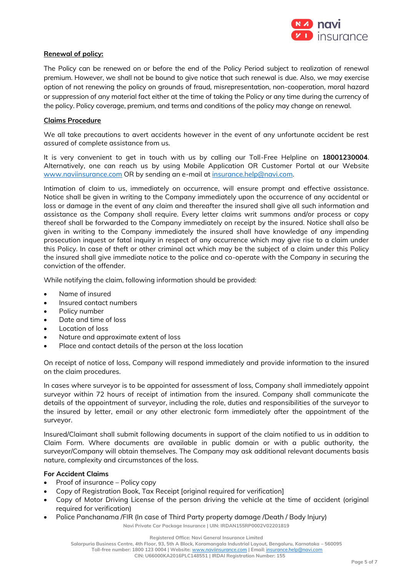

### **Renewal of policy:**

The Policy can be renewed on or before the end of the Policy Period subject to realization of renewal premium. However, we shall not be bound to give notice that such renewal is due. Also, we may exercise option of not renewing the policy on grounds of fraud, misrepresentation, non-cooperation, moral hazard or suppression of any material fact either at the time of taking the Policy or any time during the currency of the policy. Policy coverage, premium, and terms and conditions of the policy may change on renewal.

### **Claims Procedure**

We all take precautions to avert accidents however in the event of any unfortunate accident be rest assured of complete assistance from us.

It is very convenient to get in touch with us by calling our Toll-Free Helpline on **18001230004**. Alternatively, one can reach us by using Mobile Application OR Customer Portal at our Website [www.naviinsurance.com](http://www.naviinsurance.com/) OR by sending an e-mail a[t insurance.help@navi.com.](mailto:insurance.help@navi.com)

Intimation of claim to us, immediately on occurrence, will ensure prompt and effective assistance. Notice shall be given in writing to the Company immediately upon the occurrence of any accidental or loss or damage in the event of any claim and thereafter the insured shall give all such information and assistance as the Company shall require. Every letter claims writ summons and/or process or copy thereof shall be forwarded to the Company immediately on receipt by the insured. Notice shall also be given in writing to the Company immediately the insured shall have knowledge of any impending prosecution inquest or fatal inquiry in respect of any occurrence which may give rise to a claim under this Policy. In case of theft or other criminal act which may be the subject of a claim under this Policy the insured shall give immediate notice to the police and co-operate with the Company in securing the conviction of the offender.

While notifying the claim, following information should be provided:

- Name of insured
- Insured contact numbers
- Policy number
- Date and time of loss
- Location of loss
- Nature and approximate extent of loss
- Place and contact details of the person at the loss location

On receipt of notice of loss, Company will respond immediately and provide information to the insured on the claim procedures.

In cases where surveyor is to be appointed for assessment of loss, Company shall immediately appoint surveyor within 72 hours of receipt of intimation from the insured. Company shall communicate the details of the appointment of surveyor, including the role, duties and responsibilities of the surveyor to the insured by letter, email or any other electronic form immediately after the appointment of the surveyor.

Insured/Claimant shall submit following documents in support of the claim notified to us in addition to Claim Form. Where documents are available in public domain or with a public authority, the surveyor/Company will obtain themselves. The Company may ask additional relevant documents basis nature, complexity and circumstances of the loss.

### **For Accident Claims**

- Proof of insurance Policy copy
- Copy of Registration Book, Tax Receipt [original required for verification]
- Copy of Motor Driving License of the person driving the vehicle at the time of accident (original required for verification)
- Police Panchanama /FIR (In case of Third Party property damage /Death / Body Injury)

**Navi Private Car Package Insurance | UIN: IRDAN155RP0002V02201819**

**Salarpuria Business Centre, 4th Floor, 93, 5th A Block, Koramangala Industrial Layout, Bengaluru, Karnataka – 560095**

**Toll-free number: 1800 123 0004 | Website:** [www.naviinsurance.com](http://www.naviinsurance.com/) **| Email:** [insurance.help@navi.com](mailto:insurance.help@navi.com)

**CIN: U66000KA2016PLC148551 | IRDAI Registration Number: 155**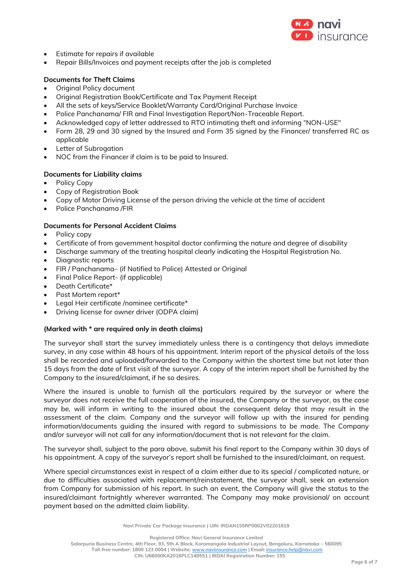

- Estimate for repairs if available
- Repair Bills/Invoices and payment receipts after the job is completed

### **Documents for Theft Claims**

- **Original Policy document**
- Original Registration Book/Certificate and Tax Payment Receipt
- All the sets of keys/Service Booklet/Warranty Card/Original Purchase Invoice
- Police Panchanama/ FIR and Final Investigation Report/Non-Traceable Report.
- Acknowledged copy of letter addressed to RTO intimating theft and informing "NON-USE"
- Form 28, 29 and 30 signed by the Insured and Form 35 signed by the Financer/ transferred RC as applicable
- Letter of Subrogation
- NOC from the Financer if claim is to be paid to Insured.

### **Documents for Liability claims**

- Policy Copy
- Copy of Registration Book
- Copy of Motor Driving License of the person driving the vehicle at the time of accident
- Police Panchanama /FIR

### **Documents for Personal Accident Claims**

- Policy copy
- Certificate of from government hospital doctor confirming the nature and degree of disability
- Discharge summary of the treating hospital clearly indicating the Hospital Registration No.
- Diagnostic reports
- FIR / Panchanama– (if Notified to Police) Attested or Original
- Final Police Report- (if applicable)
- Death Certificate\*
- Post Mortem report\*
- Legal Heir certificate /nominee certificate\*
- Driving license for owner driver (ODPA claim)

#### **(Marked with \* are required only in death claims)**

The surveyor shall start the survey immediately unless there is a contingency that delays immediate survey, in any case within 48 hours of his appointment. Interim report of the physical details of the loss shall be recorded and uploaded/forwarded to the Company within the shortest time but not later than 15 days from the date of first visit of the surveyor. A copy of the interim report shall be furnished by the Company to the insured/claimant, if he so desires.

Where the insured is unable to furnish all the particulars required by the surveyor or where the surveyor does not receive the full cooperation of the insured, the Company or the surveyor, as the case may be, will inform in writing to the insured about the consequent delay that may result in the assessment of the claim. Company and the surveyor will follow up with the insured for pending information/documents guiding the insured with regard to submissions to be made. The Company and/or surveyor will not call for any information/document that is not relevant for the claim.

The surveyor shall, subject to the para above, submit his final report to the Company within 30 days of his appointment. A copy of the surveyor's report shall be furnished to the insured/claimant, on request.

Where special circumstances exist in respect of a claim either due to its special / complicated nature, or due to difficulties associated with replacement/reinstatement, the surveyor shall, seek an extension from Company for submission of his report. In such an event, the Company will give the status to the insured/claimant fortnightly wherever warranted. The Company may make provisional/ on account payment based on the admitted claim liability.

**Navi Private Car Package Insurance | UIN: IRDAN155RP0002V02201819**

**Registered Office: Navi General Insurance Limited**

**Salarpuria Business Centre, 4th Floor, 93, 5th A Block, Koramangala Industrial Layout, Bengaluru, Karnataka – 560095 Toll-free number: 1800 123 0004 | Website:** [www.naviinsurance.com](http://www.naviinsurance.com/) **| Email:** [insurance.help@navi.com](mailto:insurance.help@navi.com)